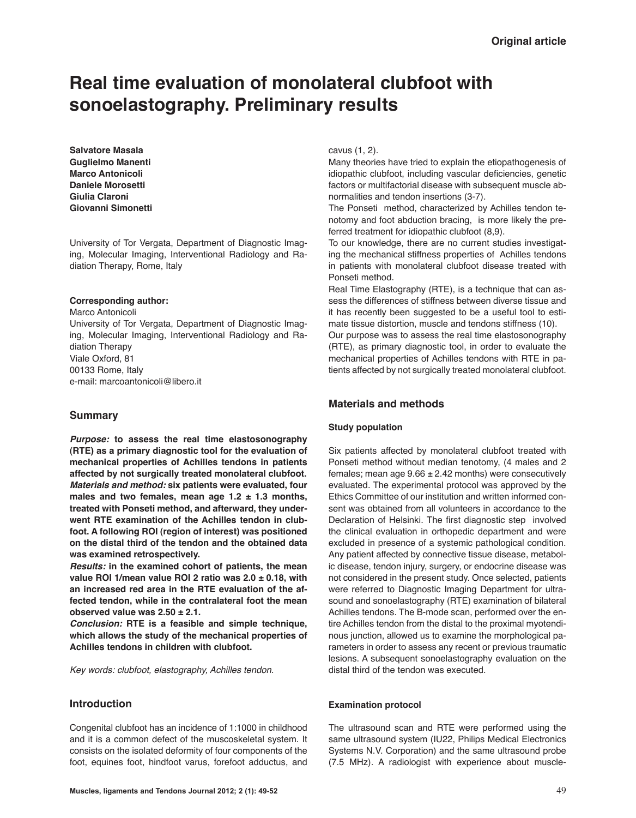# **Real time evaluation of monolateral clubfoot with sonoelastography. Preliminary results**

**Salvatore Masala Guglielmo Manenti Marco Antonicoli Daniele Morosetti Giulia Claroni Giovanni Simonetti**

University of Tor Vergata, Department of Diagnostic Imaging, Molecular Imaging, Interventional Radiology and Radiation Therapy, Rome, Italy

#### **Corresponding author:**

Marco Antonicoli University of Tor Vergata, Department of Diagnostic Imaging, Molecular Imaging, Interventional Radiology and Radiation Therapy Viale Oxford, 81 00133 Rome, Italy e-mail: marcoantonicoli@libero.it

### **Summary**

*Purpose:* **to assess the real time elastosonography (RTE) as a primary diagnostic tool for the evaluation of mechanical properties of Achilles tendons in patients affected by not surgically treated monolateral clubfoot.** *Materials and method:* **six patients were evaluated, four males and two females, mean age 1.2 ± 1.3 months, treated with Ponseti method, and afterward, they underwent RTE examination of the Achilles tendon in clubfoot. A following ROI (region of interest) was positioned on the distal third of the tendon and the obtained data was examined retrospectively.** 

*Results:* **in the examined cohort of patients, the mean value ROI 1/mean value ROI 2 ratio was 2.0 ± 0.18, with an increased red area in the RTE evaluation of the affected tendon, while in the contralateral foot the mean observed value was 2.50 ± 2.1.**

*Conclusion:* **RTE is a feasible and simple technique, which allows the study of the mechanical properties of Achilles tendons in children with clubfoot.**

*Key words: clubfoot, elastography, Achilles tendon.*

## **Introduction**

Congenital clubfoot has an incidence of 1:1000 in childhood and it is a common defect of the muscoskeletal system. It consists on the isolated deformity of four components of the foot, equines foot, hindfoot varus, forefoot adductus, and

cavus (1, 2).

Many theories have tried to explain the etiopathogenesis of idiopathic clubfoot, including vascular deficiencies, genetic factors or multifactorial disease with subsequent muscle abnormalities and tendon insertions (3-7).

The Ponseti method, characterized by Achilles tendon tenotomy and foot abduction bracing, is more likely the preferred treatment for idiopathic clubfoot (8,9).

To our knowledge, there are no current studies investigating the mechanical stiffness properties of Achilles tendons in patients with monolateral clubfoot disease treated with Ponseti method.

Real Time Elastography (RTE), is a technique that can assess the differences of stiffness between diverse tissue and it has recently been suggested to be a useful tool to estimate tissue distortion, muscle and tendons stiffness (10).

Our purpose was to assess the real time elastosonography (RTE), as primary diagnostic tool, in order to evaluate the mechanical properties of Achilles tendons with RTE in patients affected by not surgically treated monolateral clubfoot.

## **Materials and methods**

#### **Study population**

Six patients affected by monolateral clubfoot treated with Ponseti method without median tenotomy, (4 males and 2 females; mean age  $9.66 \pm 2.42$  months) were consecutively evaluated. The experimental protocol was approved by the Ethics Committee of our institution and written informed consent was obtained from all volunteers in accordance to the Declaration of Helsinki. The first diagnostic step involved the clinical evaluation in orthopedic department and were excluded in presence of a systemic pathological condition. Any patient affected by connective tissue disease, metabolic disease, tendon injury, surgery, or endocrine disease was not considered in the present study. Once selected, patients were referred to Diagnostic Imaging Department for ultrasound and sonoelastography (RTE) examination of bilateral Achilles tendons. The B-mode scan, performed over the entire Achilles tendon from the distal to the proximal myotendinous junction, allowed us to examine the morphological parameters in order to assess any recent or previous traumatic lesions. A subsequent sonoelastography evaluation on the distal third of the tendon was executed.

#### **Examination protocol**

The ultrasound scan and RTE were performed using the same ultrasound system (IU22, Philips Medical Electronics Systems N.V. Corporation) and the same ultrasound probe (7.5 MHz). A radiologist with experience about muscle-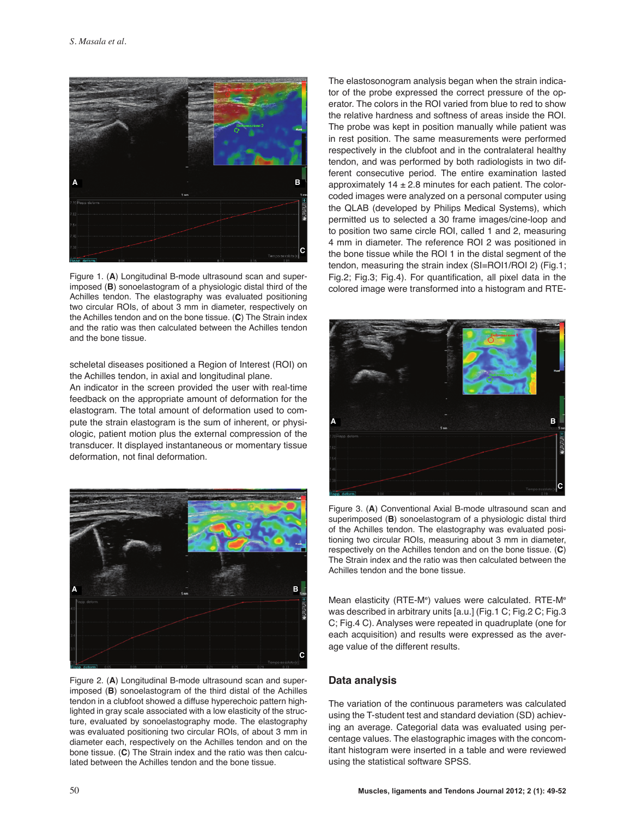

Figure 1. (**A**) Longitudinal B-mode ultrasound scan and superimposed (**B**) sonoelastogram of a physiologic distal third of the Achilles tendon. The elastography was evaluated positioning two circular ROIs, of about 3 mm in diameter, respectively on the Achilles tendon and on the bone tissue. (**C**) The Strain index and the ratio was then calculated between the Achilles tendon and the bone tissue.

scheletal diseases positioned a Region of Interest (ROI) on the Achilles tendon, in axial and longitudinal plane.

An indicator in the screen provided the user with real-time feedback on the appropriate amount of deformation for the elastogram. The total amount of deformation used to compute the strain elastogram is the sum of inherent, or physiologic, patient motion plus the external compression of the transducer. It displayed instantaneous or momentary tissue deformation, not final deformation.



Figure 2. (**A**) Longitudinal B-mode ultrasound scan and superimposed (**B**) sonoelastogram of the third distal of the Achilles tendon in a clubfoot showed a diffuse hyperechoic pattern highlighted in gray scale associated with a low elasticity of the structure, evaluated by sonoelastography mode. The elastography was evaluated positioning two circular ROIs, of about 3 mm in diameter each, respectively on the Achilles tendon and on the bone tissue. (**C**) The Strain index and the ratio was then calculated between the Achilles tendon and the bone tissue.

The elastosonogram analysis began when the strain indicator of the probe expressed the correct pressure of the operator. The colors in the ROI varied from blue to red to show the relative hardness and softness of areas inside the ROI. The probe was kept in position manually while patient was in rest position. The same measurements were performed respectively in the clubfoot and in the contralateral healthy tendon, and was performed by both radiologists in two different consecutive period. The entire examination lasted approximately  $14 \pm 2.8$  minutes for each patient. The colorcoded images were analyzed on a personal computer using the QLAB (developed by Philips Medical Systems), which permitted us to selected a 30 frame images/cine-loop and to position two same circle ROI, called 1 and 2, measuring 4 mm in diameter. The reference ROI 2 was positioned in the bone tissue while the ROI 1 in the distal segment of the tendon, measuring the strain index (SI=ROI1/ROI 2) (Fig.1; Fig.2; Fig.3; Fig.4). For quantification, all pixel data in the colored image were transformed into a histogram and RTE-



Figure 3. (**A**) Conventional Axial B-mode ultrasound scan and superimposed (**B**) sonoelastogram of a physiologic distal third of the Achilles tendon. The elastography was evaluated positioning two circular ROIs, measuring about 3 mm in diameter, respectively on the Achilles tendon and on the bone tissue. (**C**) The Strain index and the ratio was then calculated between the Achilles tendon and the bone tissue.

Mean elasticity (RTE-M<sup>e</sup>) values were calculated. RTE-M<sup>e</sup> was described in arbitrary units [a.u.] (Fig.1 C; Fig.2 C; Fig.3 C; Fig.4 C). Analyses were repeated in quadruplate (one for each acquisition) and results were expressed as the average value of the different results.

# **Data analysis**

The variation of the continuous parameters was calculated using the T-student test and standard deviation (SD) achieving an average. Categorial data was evaluated using percentage values. The elastographic images with the concomitant histogram were inserted in a table and were reviewed using the statistical software SPSS.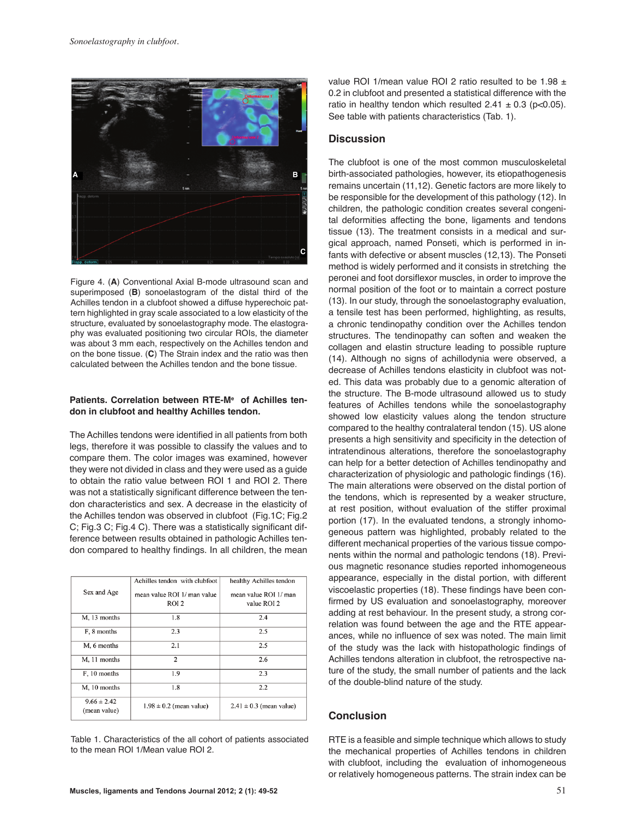

Figure 4. (**A**) Conventional Axial B-mode ultrasound scan and superimposed (**B**) sonoelastogram of the distal third of the Achilles tendon in a clubfoot showed a diffuse hyperechoic pattern highlighted in gray scale associated to a low elasticity of the structure, evaluated by sonoelastography mode. The elastography was evaluated positioning two circular ROIs, the diameter was about 3 mm each, respectively on the Achilles tendon and on the bone tissue. (**C**) The Strain index and the ratio was then calculated between the Achilles tendon and the bone tissue.

## **Patients. Correlation between RTE-Me of Achilles tendon in clubfoot and healthy Achilles tendon.**

The Achilles tendons were identified in all patients from both legs, therefore it was possible to classify the values and to compare them. The color images was examined, however they were not divided in class and they were used as a guide to obtain the ratio value between ROI 1 and ROI 2. There was not a statistically significant difference between the tendon characteristics and sex. A decrease in the elasticity of the Achilles tendon was observed in clubfoot (Fig.1C; Fig.2 C; Fig.3 C; Fig.4 C). There was a statistically significant difference between results obtained in pathologic Achilles tendon compared to healthy findings. In all children, the mean

|                                 | Achilles tendon with clubfoot | healthy Achilles tendon     |
|---------------------------------|-------------------------------|-----------------------------|
| Sex and Age                     | mean value ROI 1/ man value   | mean value ROI 1/ man       |
|                                 | ROI <sub>2</sub>              | value ROI 2                 |
| M, 13 months                    | 1.8                           | 2.4                         |
| F, 8 months                     | 2.3                           | 2.5                         |
| M, 6 months                     | 2.1                           | 2.5                         |
| M, 11 months                    | 2                             | 2.6                         |
| F, 10 months                    | 1.9                           | 2.3                         |
| M, 10 months                    | 1.8                           | 2.2                         |
| $9.66 \pm 2.42$<br>(mean value) | $1.98 \pm 0.2$ (mean value)   | $2.41 \pm 0.3$ (mean value) |
|                                 |                               |                             |

Table 1. Characteristics of the all cohort of patients associated to the mean ROI 1/Mean value ROI 2.

## **Discussion**

The clubfoot is one of the most common musculoskeletal birth-associated pathologies, however, its etiopathogenesis remains uncertain (11,12). Genetic factors are more likely to be responsible for the development of this pathology (12). In children, the pathologic condition creates several congenital deformities affecting the bone, ligaments and tendons tissue (13). The treatment consists in a medical and surgical approach, named Ponseti, which is performed in infants with defective or absent muscles (12,13). The Ponseti method is widely performed and it consists in stretching the peronei and foot dorsiflexor muscles, in order to improve the normal position of the foot or to maintain a correct posture (13). In our study, through the sonoelastography evaluation, a tensile test has been performed, highlighting, as results, a chronic tendinopathy condition over the Achilles tendon structures. The tendinopathy can soften and weaken the collagen and elastin structure leading to possible rupture (14). Although no signs of achillodynia were observed, a decrease of Achilles tendons elasticity in clubfoot was noted. This data was probably due to a genomic alteration of the structure. The B-mode ultrasound allowed us to study features of Achilles tendons while the sonoelastography showed low elasticity values along the tendon structure compared to the healthy contralateral tendon (15). US alone presents a high sensitivity and specificity in the detection of intratendinous alterations, therefore the sonoelastography can help for a better detection of Achilles tendinopathy and characterization of physiologic and pathologic findings (16). The main alterations were observed on the distal portion of the tendons, which is represented by a weaker structure, at rest position, without evaluation of the stiffer proximal portion (17). In the evaluated tendons, a strongly inhomogeneous pattern was highlighted, probably related to the different mechanical properties of the various tissue components within the normal and pathologic tendons (18). Previous magnetic resonance studies reported inhomogeneous appearance, especially in the distal portion, with different viscoelastic properties (18). These findings have been confirmed by US evaluation and sonoelastography, moreover adding at rest behaviour. In the present study, a strong correlation was found between the age and the RTE appearances, while no influence of sex was noted. The main limit of the study was the lack with histopathologic findings of Achilles tendons alteration in clubfoot, the retrospective nature of the study, the small number of patients and the lack of the double-blind nature of the study.

# **Conclusion**

RTE is a feasible and simple technique which allows to study the mechanical properties of Achilles tendons in children with clubfoot, including the evaluation of inhomogeneous or relatively homogeneous patterns. The strain index can be